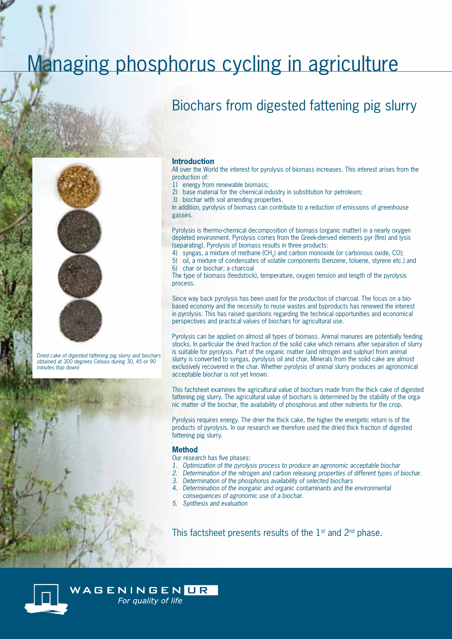# Managing phosphorus cycling in agriculture

## Biochars from digested fattening pig slurry



 *Dried cake of digested fattening pig slurry and biochars obtained at 300 degrees Celsius during 30, 45 or 90 minutes (top down)*



#### **Introduction**

All over the World the interest for pyrolysis of biomass increases. This interest arises from the production of:

- 1) energy from renewable biomass;
- 2) base material for the chemical industry in substitution for petroleum;
- 3) biochar with soil amending properties.

In addition, pyrolysis of biomass can contribute to a reduction of emissions of greenhouse gasses.

Pyrolysis is thermo-chemical decomposition of biomass (organic matter) in a nearly oxygen depleted environment. Pyrolysis comes from the Greek-derived elements pyr (fire) and lysis (separating). Pyrolysis of biomass results in three products:

4) syngas, a mixture of methane  $(CH_A)$  and carbon monoxide (or carbonous oxide, CO);

5) oil, a mixture of condensates of volatile components (benzene, toluene, styrene etc.) and 6) char or biochar; a charcoal

The type of biomass (feedstock), temperature, oxygen tension and length of the pyrolysis process.

Since way back pyrolysis has been used for the production of charcoal. The focus on a biobased economy and the necessity to reuse wastes and byproducts has renewed the interest in pyrolysis. This has raised questions regarding the technical opportunities and economical perspectives and practical values of biochars for agricultural use.

Pyrolysis can be applied on almost all types of biomass. Animal manures are potentially feeding stocks. In particular the dried fraction of the solid cake which remains after separation of slurry is suitable for pyrolysis. Part of the organic matter (and nitrogen and sulphur) from animal slurry is converted to syngas, pyrolysis oil and char. Minerals from the solid cake are almost exclusively recovered in the char. Whether pyrolysis of animal slurry produces an agronomical acceptable biochar is not yet known.

This factsheet examines the agricultural value of biochars made from the thick cake of digested fattening pig slurry. The agricultural value of biochars is determined by the stability of the organic matter of the biochar, the availability of phosphorus and other nutrients for the crop.

Pyrolysis requires energy. The drier the thick cake, the higher the energetic return is of the products of pyrolysis. In our research we therefore used the dried thick fraction of digested fattening pig slurry.

#### **Method**

- Our research has five phases:
- *1. Optimization of the pyrolysis process to produce an agronomic acceptable biochar*
- *2. Determination of the nitrogen and carbon releasing properties of different types of biochar.*
- *3. Determination of the phosphorus availability of selected biochars*
- *4. Determination of the inorganic and organic contaminants and the environmental consequences of agronomic use of a biochar.*
- *5. Synthesis and evaluation*

This factsheet presents results of the  $1<sup>st</sup>$  and  $2<sup>nd</sup>$  phase.



WAGENINGEN UR For quality of life